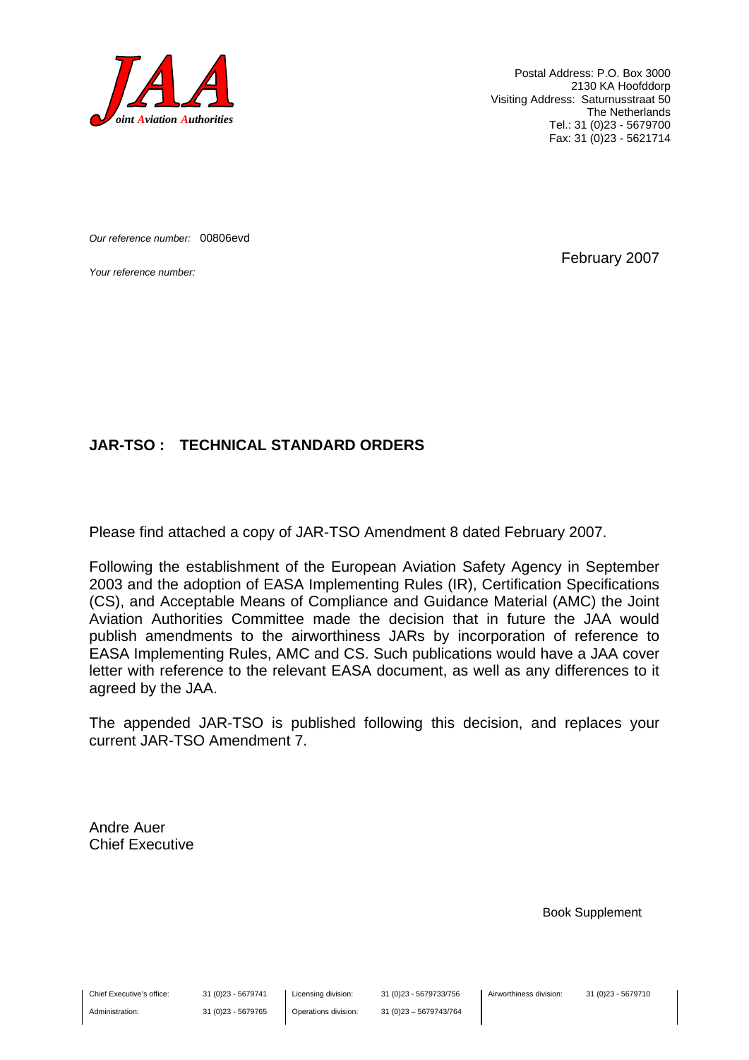

Postal Address: P.O. Box 3000 2130 KA Hoofddorp Visiting Address: Saturnusstraat 50 The Netherlands Tel.: 31 (0)23 - 5679700 Fax: 31 (0)23 - 5621714

*Our reference number:* 00806evd

*Your reference number:* February 2007

#### **JAR-TSO : TECHNICAL STANDARD ORDERS**

Please find attached a copy of JAR-TSO Amendment 8 dated February 2007.

Following the establishment of the European Aviation Safety Agency in September 2003 and the adoption of EASA Implementing Rules (IR), Certification Specifications (CS), and Acceptable Means of Compliance and Guidance Material (AMC) the Joint Aviation Authorities Committee made the decision that in future the JAA would publish amendments to the airworthiness JARs by incorporation of reference to EASA Implementing Rules, AMC and CS. Such publications would have a JAA cover letter with reference to the relevant EASA document, as well as any differences to it agreed by the JAA.

The appended JAR-TSO is published following this decision, and replaces your current JAR-TSO Amendment 7.

Andre Auer Chief Executive

Book Supplement

Chief Executive's office:

Administration:

31 (0)23 - 5679741 31 (0)23 - 5679765 Licensing division: Operations division: 31 (0)23 - 5679733/756 31 (0)23 – 5679743/764 Airworthiness division: 31 (0)23 - 5679710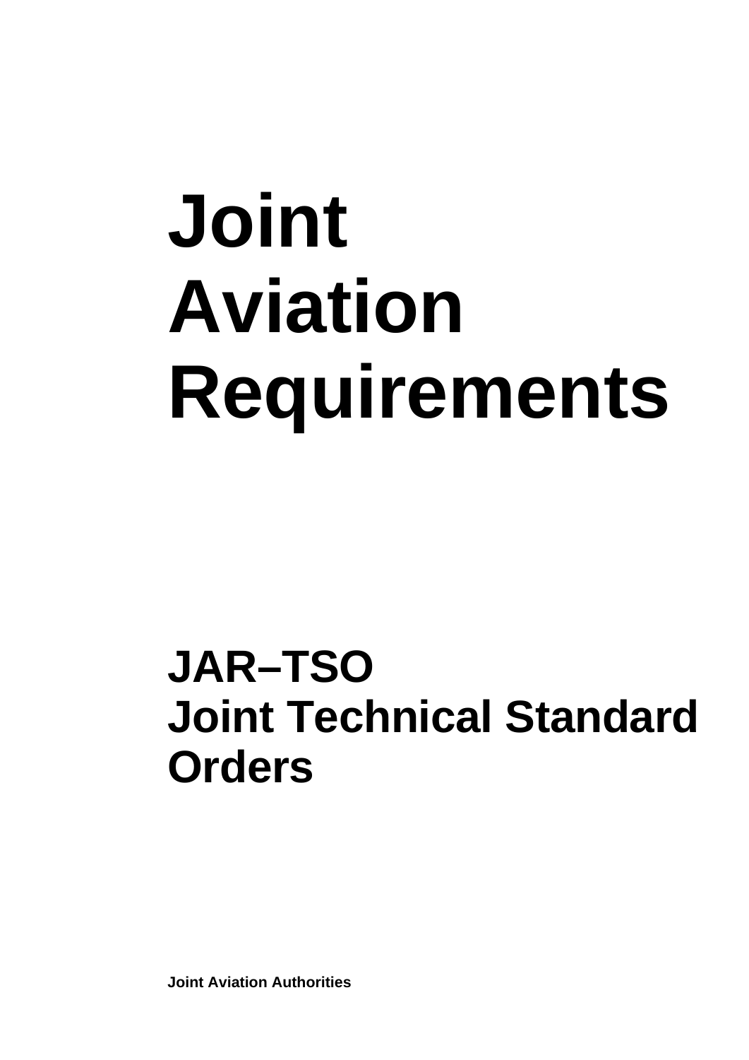# **Joint Aviation Requirements**

## **JAR–TSO Joint Technical Standard Orders**

**Joint Aviation Authorities**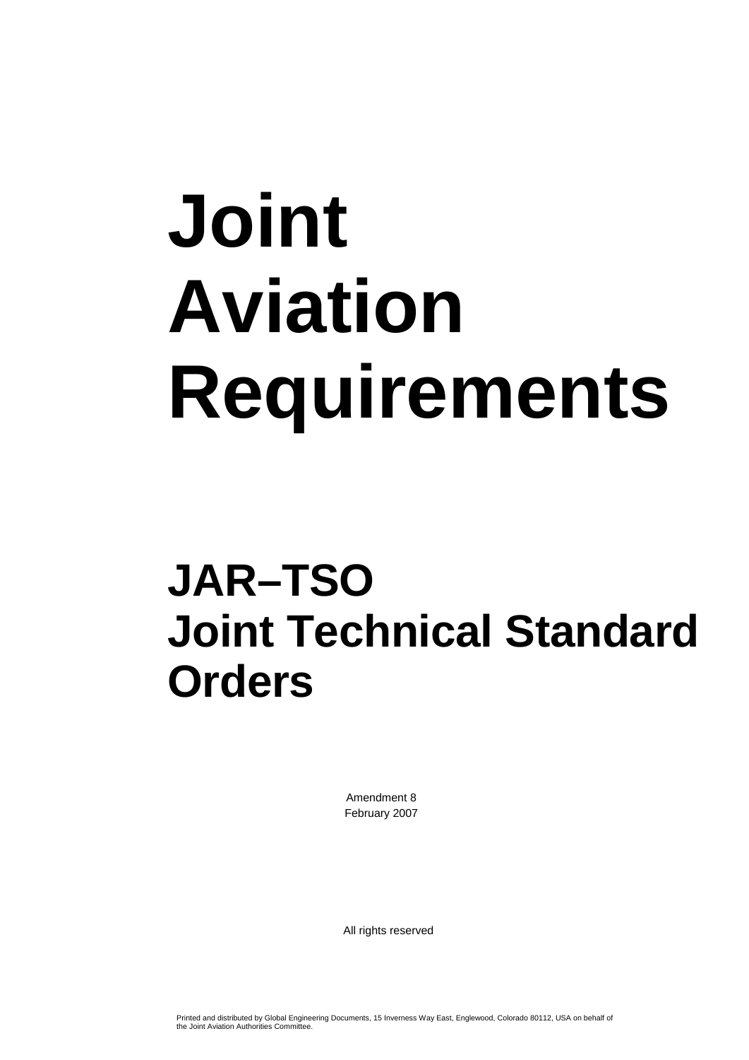# **Joint Aviation Requirements**

## **JAR–TSO Joint Technical Standard Orders**

Amendment 8 February 2007

All rights reserved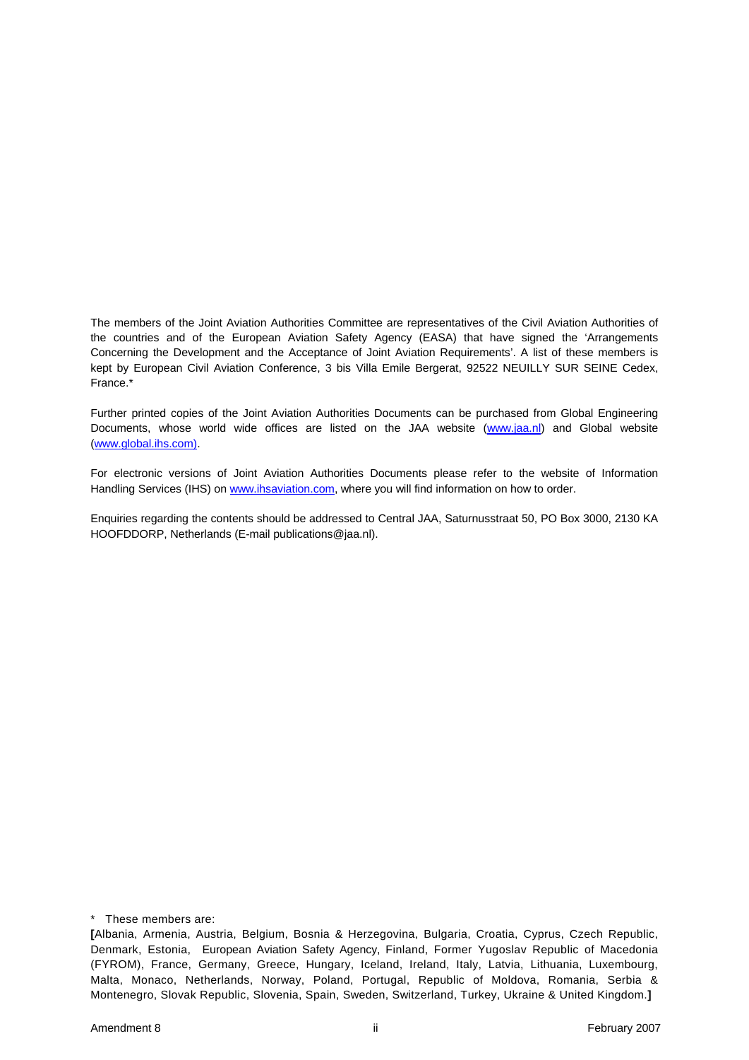The members of the Joint Aviation Authorities Committee are representatives of the Civil Aviation Authorities of the countries and of the European Aviation Safety Agency (EASA) that have signed the 'Arrangements Concerning the Development and the Acceptance of Joint Aviation Requirements'. A list of these members is kept by European Civil Aviation Conference, 3 bis Villa Emile Bergerat, 92522 NEUILLY SUR SEINE Cedex, France.\*

Further printed copies of the Joint Aviation Authorities Documents can be purchased from Global Engineering Documents, whose world wide offices are listed on the JAA website (www.jaa.nl) and Global website (www.global.ihs.com).

For electronic versions of Joint Aviation Authorities Documents please refer to the website of Information Handling Services (IHS) on www.ihsaviation.com, where you will find information on how to order.

Enquiries regarding the contents should be addressed to Central JAA, Saturnusstraat 50, PO Box 3000, 2130 KA HOOFDDORP, Netherlands (E-mail publications@jaa.nl).

\* These members are:

**<sup>[</sup>**Albania, Armenia, Austria, Belgium, Bosnia & Herzegovina, Bulgaria, Croatia, Cyprus, Czech Republic, Denmark, Estonia, European Aviation Safety Agency, Finland, Former Yugoslav Republic of Macedonia (FYROM), France, Germany, Greece, Hungary, Iceland, Ireland, Italy, Latvia, Lithuania, Luxembourg, Malta, Monaco, Netherlands, Norway, Poland, Portugal, Republic of Moldova, Romania, Serbia & Montenegro, Slovak Republic, Slovenia, Spain, Sweden, Switzerland, Turkey, Ukraine & United Kingdom.**]**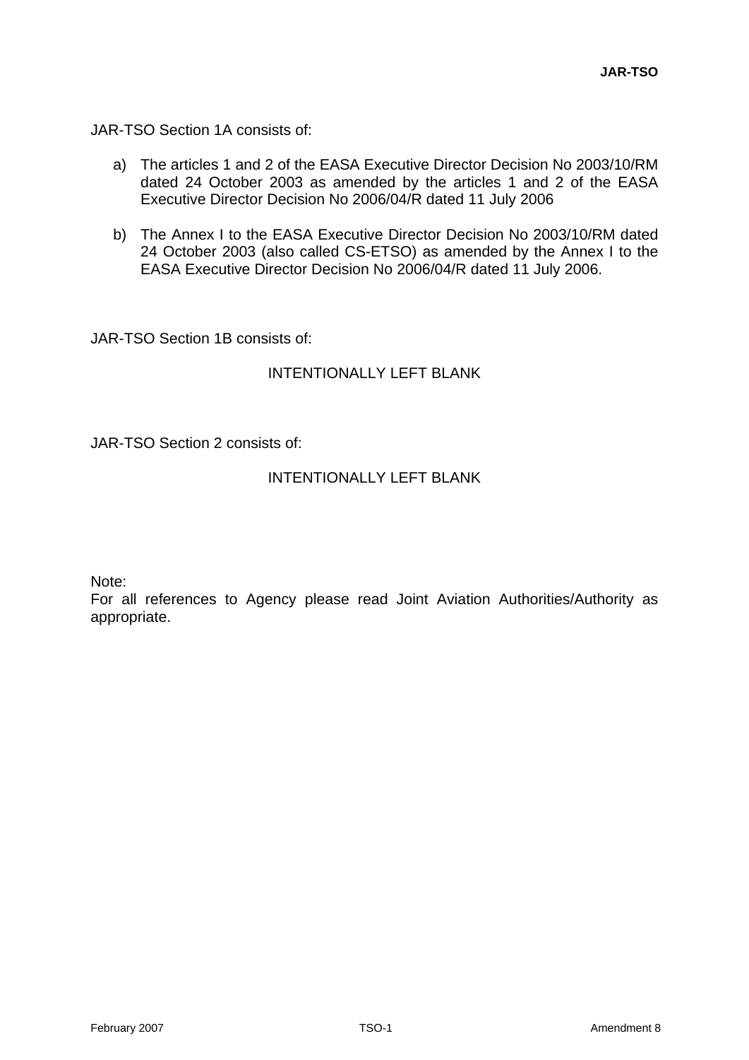JAR-TSO Section 1A consists of:

- a) The articles 1 and 2 of the EASA Executive Director Decision No 2003/10/RM dated 24 October 2003 as amended by the articles 1 and 2 of the EASA Executive Director Decision No 2006/04/R dated 11 July 2006
- b) The Annex I to the EASA Executive Director Decision No 2003/10/RM dated 24 October 2003 (also called CS-ETSO) as amended by the Annex I to the EASA Executive Director Decision No 2006/04/R dated 11 July 2006.

JAR-TSO Section 1B consists of:

### INTENTIONALLY LEFT BLANK

JAR-TSO Section 2 consists of:

### INTENTIONALLY LEFT BLANK

Note:

For all references to Agency please read Joint Aviation Authorities/Authority as appropriate.